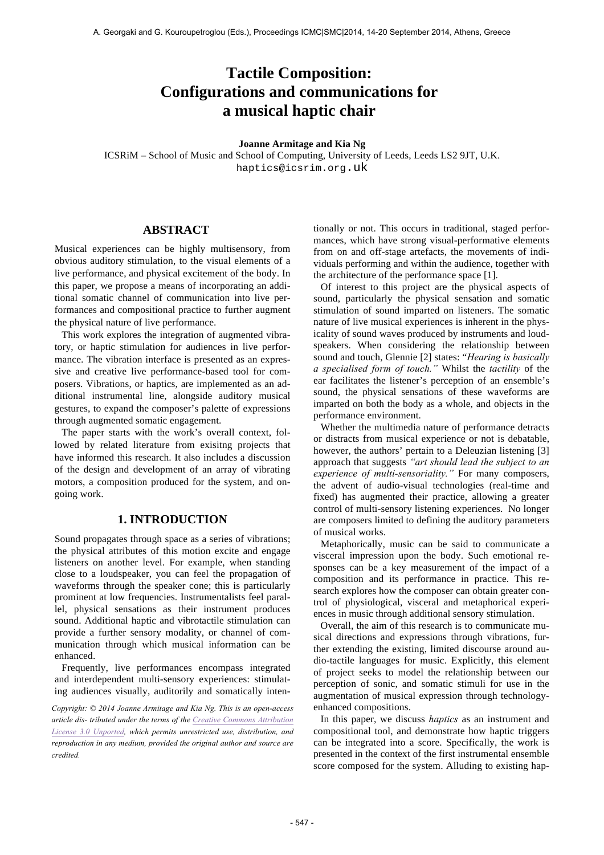# **Tactile Composition: Configurations and communications for a musical haptic chair**

### **Joanne Armitage and Kia Ng**

ICSRiM – School of Music and School of Computing, University of Leeds, Leeds LS2 9JT, U.K. haptics@icsrim.org.uk

# **ABSTRACT**

Musical experiences can be highly multisensory, from obvious auditory stimulation, to the visual elements of a live performance, and physical excitement of the body. In this paper, we propose a means of incorporating an additional somatic channel of communication into live performances and compositional practice to further augment the physical nature of live performance.

This work explores the integration of augmented vibratory, or haptic stimulation for audiences in live performance. The vibration interface is presented as an expressive and creative live performance-based tool for composers. Vibrations, or haptics, are implemented as an additional instrumental line, alongside auditory musical gestures, to expand the composer's palette of expressions through augmented somatic engagement.

The paper starts with the work's overall context, followed by related literature from exisitng projects that have informed this research. It also includes a discussion of the design and development of an array of vibrating motors, a composition produced for the system, and ongoing work.

# **1. INTRODUCTION**

Sound propagates through space as a series of vibrations; the physical attributes of this motion excite and engage listeners on another level. For example, when standing close to a loudspeaker, you can feel the propagation of waveforms through the speaker cone; this is particularly prominent at low frequencies. Instrumentalists feel parallel, physical sensations as their instrument produces sound. Additional haptic and vibrotactile stimulation can provide a further sensory modality, or channel of communication through which musical information can be enhanced.

Frequently, live performances encompass integrated and interdependent multi-sensory experiences: stimulating audiences visually, auditorily and somatically inten-

*Copyright: © 2014 Joanne Armitage and Kia Ng. This is an open-access article dis- tributed under the terms of the Creative Commons Attribution License 3.0 Unported, which permits unrestricted use, distribution, and reproduction in any medium, provided the original author and source are credited.*

tionally or not. This occurs in traditional, staged performances, which have strong visual-performative elements from on and off-stage artefacts, the movements of individuals performing and within the audience, together with the architecture of the performance space [1].

Of interest to this project are the physical aspects of sound, particularly the physical sensation and somatic stimulation of sound imparted on listeners. The somatic nature of live musical experiences is inherent in the physicality of sound waves produced by instruments and loudspeakers. When considering the relationship between sound and touch, Glennie [2] states: "*Hearing is basically a specialised form of touch."* Whilst the *tactility* of the ear facilitates the listener's perception of an ensemble's sound, the physical sensations of these waveforms are imparted on both the body as a whole, and objects in the performance environment.

Whether the multimedia nature of performance detracts or distracts from musical experience or not is debatable, however, the authors' pertain to a Deleuzian listening [3] approach that suggests *"art should lead the subject to an experience of multi-sensoriality."* For many composers, the advent of audio-visual technologies (real-time and fixed) has augmented their practice, allowing a greater control of multi-sensory listening experiences. No longer are composers limited to defining the auditory parameters of musical works.

Metaphorically, music can be said to communicate a visceral impression upon the body. Such emotional responses can be a key measurement of the impact of a composition and its performance in practice. This research explores how the composer can obtain greater control of physiological, visceral and metaphorical experiences in music through additional sensory stimulation.

Overall, the aim of this research is to communicate musical directions and expressions through vibrations, further extending the existing, limited discourse around audio-tactile languages for music. Explicitly, this element of project seeks to model the relationship between our perception of sonic, and somatic stimuli for use in the augmentation of musical expression through technologyenhanced compositions.

In this paper, we discuss *haptics* as an instrument and compositional tool, and demonstrate how haptic triggers can be integrated into a score. Specifically, the work is presented in the context of the first instrumental ensemble score composed for the system. Alluding to existing hap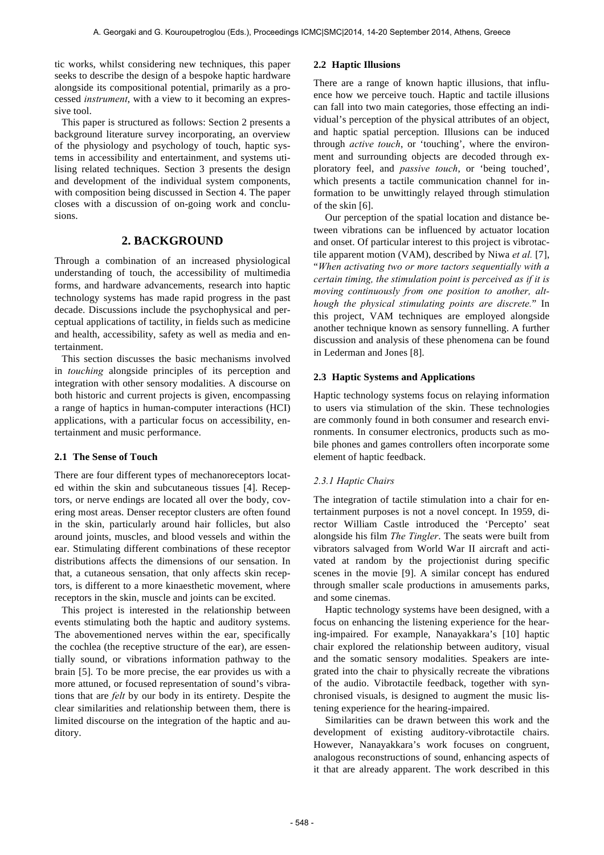tic works, whilst considering new techniques, this paper seeks to describe the design of a bespoke haptic hardware alongside its compositional potential, primarily as a processed *instrument*, with a view to it becoming an expressive tool.

This paper is structured as follows: Section 2 presents a background literature survey incorporating, an overview of the physiology and psychology of touch, haptic systems in accessibility and entertainment, and systems utilising related techniques. Section 3 presents the design and development of the individual system components, with composition being discussed in Section 4. The paper closes with a discussion of on-going work and conclusions.

# **2. BACKGROUND**

Through a combination of an increased physiological understanding of touch, the accessibility of multimedia forms, and hardware advancements, research into haptic technology systems has made rapid progress in the past decade. Discussions include the psychophysical and perceptual applications of tactility, in fields such as medicine and health, accessibility, safety as well as media and entertainment.

This section discusses the basic mechanisms involved in *touching* alongside principles of its perception and integration with other sensory modalities. A discourse on both historic and current projects is given, encompassing a range of haptics in human-computer interactions (HCI) applications, with a particular focus on accessibility, entertainment and music performance.

#### **2.1 The Sense of Touch**

There are four different types of mechanoreceptors located within the skin and subcutaneous tissues [4]. Receptors, or nerve endings are located all over the body, covering most areas. Denser receptor clusters are often found in the skin, particularly around hair follicles, but also around joints, muscles, and blood vessels and within the ear. Stimulating different combinations of these receptor distributions affects the dimensions of our sensation. In that, a cutaneous sensation, that only affects skin receptors, is different to a more kinaesthetic movement, where receptors in the skin, muscle and joints can be excited.

This project is interested in the relationship between events stimulating both the haptic and auditory systems. The abovementioned nerves within the ear, specifically the cochlea (the receptive structure of the ear), are essentially sound, or vibrations information pathway to the brain [5]. To be more precise, the ear provides us with a more attuned, or focused representation of sound's vibrations that are *felt* by our body in its entirety. Despite the clear similarities and relationship between them, there is limited discourse on the integration of the haptic and auditory.

### **2.2 Haptic Illusions**

There are a range of known haptic illusions, that influence how we perceive touch. Haptic and tactile illusions can fall into two main categories, those effecting an individual's perception of the physical attributes of an object, and haptic spatial perception. Illusions can be induced through *active touch*, or 'touching', where the environment and surrounding objects are decoded through exploratory feel, and *passive touch*, or 'being touched', which presents a tactile communication channel for information to be unwittingly relayed through stimulation of the skin [6].

Our perception of the spatial location and distance between vibrations can be influenced by actuator location and onset. Of particular interest to this project is vibrotactile apparent motion (VAM), described by Niwa *et al.* [7], "*When activating two or more tactors sequentially with a certain timing, the stimulation point is perceived as if it is moving continuously from one position to another, although the physical stimulating points are discrete.*" In this project, VAM techniques are employed alongside another technique known as sensory funnelling. A further discussion and analysis of these phenomena can be found in Lederman and Jones [8].

### **2.3 Haptic Systems and Applications**

Haptic technology systems focus on relaying information to users via stimulation of the skin. These technologies are commonly found in both consumer and research environments. In consumer electronics, products such as mobile phones and games controllers often incorporate some element of haptic feedback.

### *2.3.1 Haptic Chairs*

The integration of tactile stimulation into a chair for entertainment purposes is not a novel concept. In 1959, director William Castle introduced the 'Percepto' seat alongside his film *The Tingler*. The seats were built from vibrators salvaged from World War II aircraft and activated at random by the projectionist during specific scenes in the movie [9]. A similar concept has endured through smaller scale productions in amusements parks, and some cinemas.

Haptic technology systems have been designed, with a focus on enhancing the listening experience for the hearing-impaired. For example, Nanayakkara's [10] haptic chair explored the relationship between auditory, visual and the somatic sensory modalities. Speakers are integrated into the chair to physically recreate the vibrations of the audio. Vibrotactile feedback, together with synchronised visuals, is designed to augment the music listening experience for the hearing-impaired.

Similarities can be drawn between this work and the development of existing auditory-vibrotactile chairs. However, Nanayakkara's work focuses on congruent, analogous reconstructions of sound, enhancing aspects of it that are already apparent. The work described in this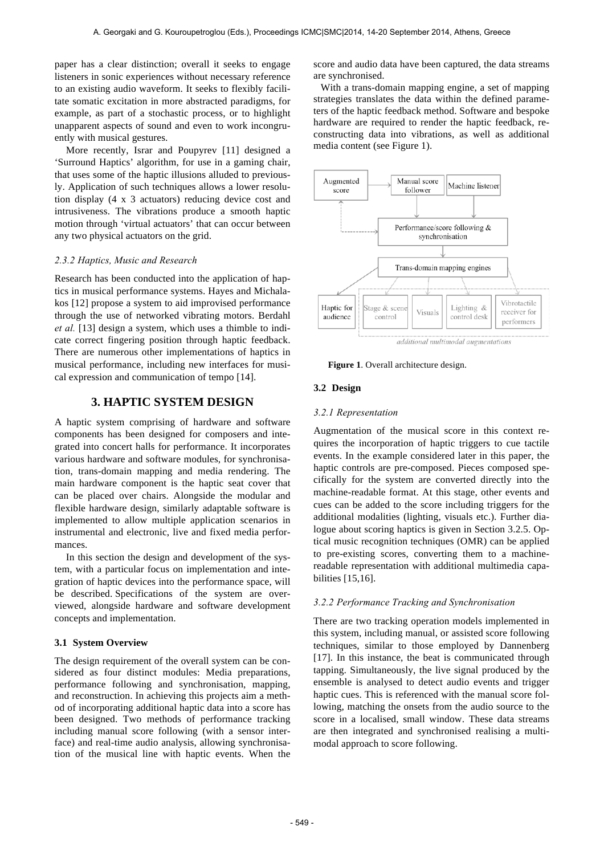paper has a clear distinction; overall it seeks to engage listeners in sonic experiences without necessary reference to an existing audio waveform. It seeks to flexibly facilitate somatic excitation in more abstracted paradigms, for example, as part of a stochastic process, or to highlight unapparent aspects of sound and even to work incongruently with musical gestures.

More recently, Israr and Poupyrev [11] designed a 'Surround Haptics' algorithm, for use in a gaming chair, that uses some of the haptic illusions alluded to previously. Application of such techniques allows a lower resolution display (4 x 3 actuators) reducing device cost and intrusiveness. The vibrations produce a smooth haptic motion through 'virtual actuators' that can occur between any two physical actuators on the grid.

# *2.3.2 Haptics, Music and Research*

Research has been conducted into the application of haptics in musical performance systems. Hayes and Michalakos [12] propose a system to aid improvised performance through the use of networked vibrating motors. Berdahl *et al.* [13] design a system, which uses a thimble to indicate correct fingering position through haptic feedback. There are numerous other implementations of haptics in musical performance, including new interfaces for musical expression and communication of tempo [14].

# **3. HAPTIC SYSTEM DESIGN**

A haptic system comprising of hardware and software components has been designed for composers and integrated into concert halls for performance. It incorporates various hardware and software modules, for synchronisation, trans-domain mapping and media rendering. The main hardware component is the haptic seat cover that can be placed over chairs. Alongside the modular and flexible hardware design, similarly adaptable software is implemented to allow multiple application scenarios in instrumental and electronic, live and fixed media performances.

In this section the design and development of the system, with a particular focus on implementation and integration of haptic devices into the performance space, will be described. Specifications of the system are overviewed, alongside hardware and software development concepts and implementation.

### **3.1 System Overview**

The design requirement of the overall system can be considered as four distinct modules: Media preparations, performance following and synchronisation, mapping, and reconstruction. In achieving this projects aim a method of incorporating additional haptic data into a score has been designed. Two methods of performance tracking including manual score following (with a sensor interface) and real-time audio analysis, allowing synchronisation of the musical line with haptic events. When the score and audio data have been captured, the data streams are synchronised.

With a trans-domain mapping engine, a set of mapping strategies translates the data within the defined parameters of the haptic feedback method. Software and bespoke hardware are required to render the haptic feedback, reconstructing data into vibrations, as well as additional media content (see Figure 1).



additional multimodal augmentations

**Figure 1**. Overall architecture design.

### **3.2 Design**

#### *3.2.1 Representation*

Augmentation of the musical score in this context requires the incorporation of haptic triggers to cue tactile events. In the example considered later in this paper, the haptic controls are pre-composed. Pieces composed specifically for the system are converted directly into the machine-readable format. At this stage, other events and cues can be added to the score including triggers for the additional modalities (lighting, visuals etc.). Further dialogue about scoring haptics is given in Section 3.2.5. Optical music recognition techniques (OMR) can be applied to pre-existing scores, converting them to a machinereadable representation with additional multimedia capabilities [15,16].

#### *3.2.2 Performance Tracking and Synchronisation*

There are two tracking operation models implemented in this system, including manual, or assisted score following techniques, similar to those employed by Dannenberg [17]. In this instance, the beat is communicated through tapping. Simultaneously, the live signal produced by the ensemble is analysed to detect audio events and trigger haptic cues. This is referenced with the manual score following, matching the onsets from the audio source to the score in a localised, small window. These data streams are then integrated and synchronised realising a multimodal approach to score following.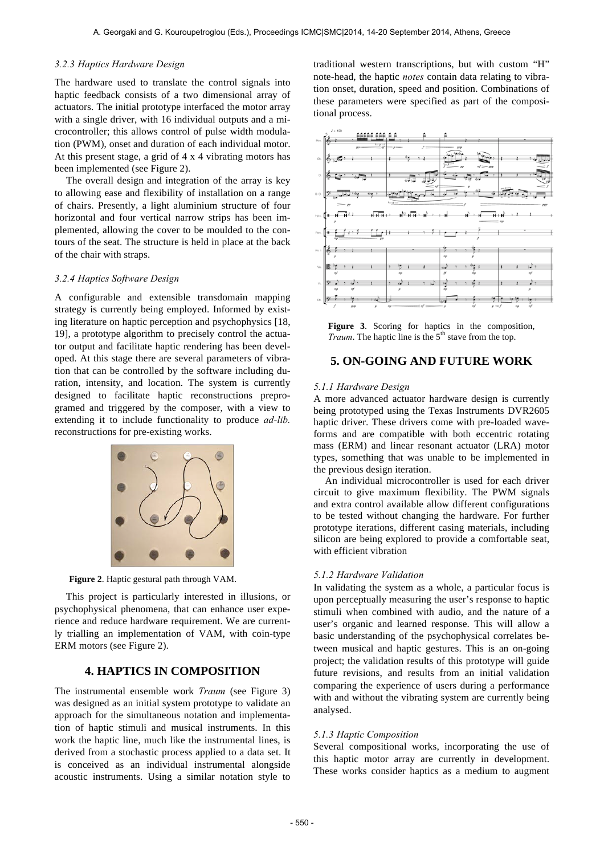### *3.2.3 Haptics Hardware Design*

The hardware used to translate the control signals into haptic feedback consists of a two dimensional array of actuators. The initial prototype interfaced the motor array with a single driver, with 16 individual outputs and a microcontroller; this allows control of pulse width modulation (PWM), onset and duration of each individual motor. At this present stage, a grid of 4 x 4 vibrating motors has been implemented (see Figure 2).

The overall design and integration of the array is key to allowing ease and flexibility of installation on a range of chairs. Presently, a light aluminium structure of four horizontal and four vertical narrow strips has been implemented, allowing the cover to be moulded to the contours of the seat. The structure is held in place at the back of the chair with straps.

#### *3.2.4 Haptics Software Design*

A configurable and extensible transdomain mapping strategy is currently being employed. Informed by existing literature on haptic perception and psychophysics [18, 19], a prototype algorithm to precisely control the actuator output and facilitate haptic rendering has been developed. At this stage there are several parameters of vibration that can be controlled by the software including duration, intensity, and location. The system is currently designed to facilitate haptic reconstructions preprogramed and triggered by the composer, with a view to extending it to include functionality to produce *ad-lib.* reconstructions for pre-existing works.



**Figure 2**. Haptic gestural path through VAM.

This project is particularly interested in illusions, or psychophysical phenomena, that can enhance user experience and reduce hardware requirement. We are currently trialling an implementation of VAM, with coin-type ERM motors (see Figure 2).

# **4. HAPTICS IN COMPOSITION**

The instrumental ensemble work *Traum* (see Figure 3) was designed as an initial system prototype to validate an approach for the simultaneous notation and implementation of haptic stimuli and musical instruments. In this work the haptic line, much like the instrumental lines, is derived from a stochastic process applied to a data set. It is conceived as an individual instrumental alongside acoustic instruments. Using a similar notation style to traditional western transcriptions, but with custom "H" note-head, the haptic *notes* contain data relating to vibration onset, duration, speed and position. Combinations of these parameters were specified as part of the compositional process.



**Figure 3**. Scoring for haptics in the composition, *Traum*. The haptic line is the 5<sup>th</sup> stave from the top.

# **5. ON-GOING AND FUTURE WORK**

#### *5.1.1 Hardware Design*

A more advanced actuator hardware design is currently being prototyped using the Texas Instruments DVR2605 haptic driver. These drivers come with pre-loaded waveforms and are compatible with both eccentric rotating mass (ERM) and linear resonant actuator (LRA) motor types, something that was unable to be implemented in the previous design iteration.

An individual microcontroller is used for each driver circuit to give maximum flexibility. The PWM signals and extra control available allow different configurations to be tested without changing the hardware. For further prototype iterations, different casing materials, including silicon are being explored to provide a comfortable seat, with efficient vibration

### *5.1.2 Hardware Validation*

In validating the system as a whole, a particular focus is upon perceptually measuring the user's response to haptic stimuli when combined with audio, and the nature of a user's organic and learned response. This will allow a basic understanding of the psychophysical correlates between musical and haptic gestures. This is an on-going project; the validation results of this prototype will guide future revisions, and results from an initial validation comparing the experience of users during a performance with and without the vibrating system are currently being analysed.

#### *5.1.3 Haptic Composition*

Several compositional works, incorporating the use of this haptic motor array are currently in development. These works consider haptics as a medium to augment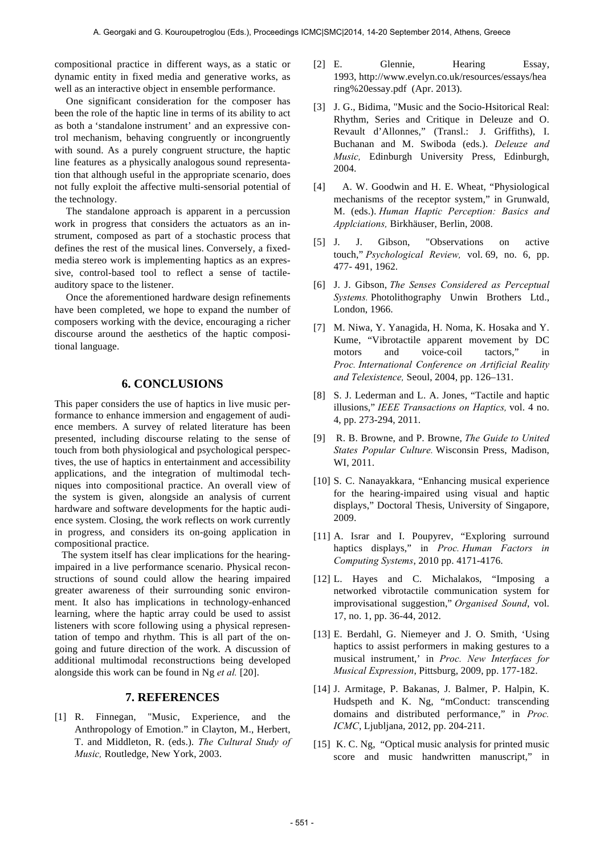compositional practice in different ways, as a static or dynamic entity in fixed media and generative works, as well as an interactive object in ensemble performance.

One significant consideration for the composer has been the role of the haptic line in terms of its ability to act as both a 'standalone instrument' and an expressive control mechanism, behaving congruently or incongruently with sound. As a purely congruent structure, the haptic line features as a physically analogous sound representation that although useful in the appropriate scenario, does not fully exploit the affective multi-sensorial potential of the technology.

The standalone approach is apparent in a percussion work in progress that considers the actuators as an instrument, composed as part of a stochastic process that defines the rest of the musical lines. Conversely, a fixedmedia stereo work is implementing haptics as an expressive, control-based tool to reflect a sense of tactileauditory space to the listener.

Once the aforementioned hardware design refinements have been completed, we hope to expand the number of composers working with the device, encouraging a richer discourse around the aesthetics of the haptic compositional language.

# **6. CONCLUSIONS**

This paper considers the use of haptics in live music performance to enhance immersion and engagement of audience members. A survey of related literature has been presented, including discourse relating to the sense of touch from both physiological and psychological perspectives, the use of haptics in entertainment and accessibility applications, and the integration of multimodal techniques into compositional practice. An overall view of the system is given, alongside an analysis of current hardware and software developments for the haptic audience system. Closing, the work reflects on work currently in progress, and considers its on-going application in compositional practice.

The system itself has clear implications for the hearingimpaired in a live performance scenario. Physical reconstructions of sound could allow the hearing impaired greater awareness of their surrounding sonic environment. It also has implications in technology-enhanced learning, where the haptic array could be used to assist listeners with score following using a physical representation of tempo and rhythm. This is all part of the ongoing and future direction of the work. A discussion of additional multimodal reconstructions being developed alongside this work can be found in Ng *et al.* [20].

# **7. REFERENCES**

[1] R. Finnegan, "Music, Experience, and the Anthropology of Emotion." in Clayton, M., Herbert, T. and Middleton, R. (eds.). *The Cultural Study of Music,* Routledge, New York, 2003.

- [2] E. Glennie, Hearing Essay, 1993, http://www.evelyn.co.uk/resources/essays/hea ring%20essay.pdf (Apr. 2013).
- [3] J. G., Bidima, "Music and the Socio-Hsitorical Real: Rhythm, Series and Critique in Deleuze and O. Revault d'Allonnes," (Transl.: J. Griffiths), I. Buchanan and M. Swiboda (eds.). *Deleuze and Music,* Edinburgh University Press, Edinburgh, 2004.
- [4] A. W. Goodwin and H. E. Wheat, "Physiological mechanisms of the receptor system," in Grunwald, M. (eds.). *Human Haptic Perception: Basics and Applciations,* Birkhäuser, Berlin, 2008.
- [5] J. J. Gibson, "Observations on active touch," *Psychological Review,* vol. 69, no. 6, pp. 477- 491, 1962.
- [6] J. J. Gibson, *The Senses Considered as Perceptual Systems.* Photolithography Unwin Brothers Ltd., London, 1966.
- [7] M. Niwa, Y. Yanagida, H. Noma, K. Hosaka and Y. Kume, "Vibrotactile apparent movement by DC motors and voice-coil tactors," in *Proc. International Conference on Artificial Reality and Telexistence,* Seoul, 2004, pp. 126–131.
- [8] S. J. Lederman and L. A. Jones, "Tactile and haptic illusions," *IEEE Transactions on Haptics,* vol. 4 no. 4, pp. 273-294, 2011.
- [9] R. B. Browne, and P. Browne, *The Guide to United States Popular Culture.* Wisconsin Press, Madison, WI, 2011.
- [10] S. C. Nanayakkara, "Enhancing musical experience for the hearing-impaired using visual and haptic displays," Doctoral Thesis, University of Singapore, 2009.
- [11] A. Israr and I. Poupyrev, "Exploring surround haptics displays," in *Proc. Human Factors in Computing Systems*, 2010 pp. 4171-4176.
- [12] L. Hayes and C. Michalakos, "Imposing a networked vibrotactile communication system for improvisational suggestion," *Organised Sound*, vol. 17, no. 1, pp. 36-44, 2012.
- [13] E. Berdahl, G. Niemeyer and J. O. Smith, 'Using haptics to assist performers in making gestures to a musical instrument,' in *Proc. New Interfaces for Musical Expression*, Pittsburg, 2009, pp. 177-182.
- [14] J. Armitage, P. Bakanas, J. Balmer, P. Halpin, K. Hudspeth and K. Ng, "mConduct: transcending domains and distributed performance," in *Proc. ICMC*, Ljubljana, 2012, pp. 204-211.
- [15] K. C. Ng, "Optical music analysis for printed music score and music handwritten manuscript," in